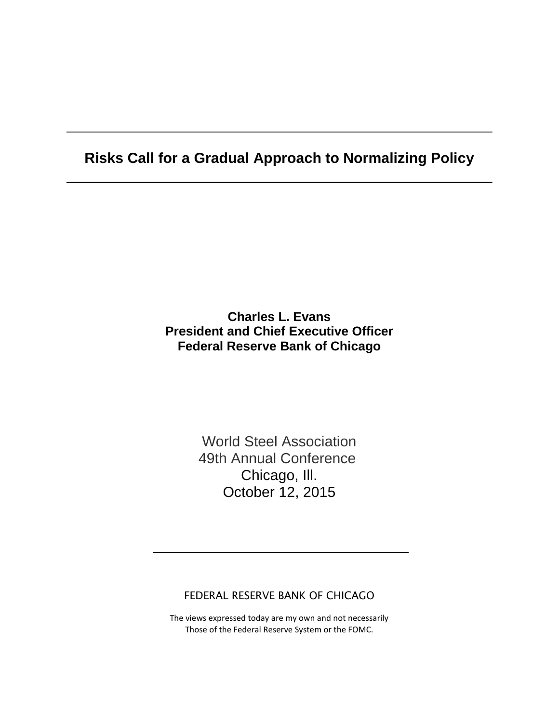## **Risks Call for a Gradual Approach to Normalizing Policy**

## **Charles L. Evans President and Chief Executive Officer Federal Reserve Bank of Chicago**

World Steel Association 49th Annual Conference Chicago, Ill. October 12, 2015

FEDERAL RESERVE BANK OF CHICAGO

The views expressed today are my own and not necessarily Those of the Federal Reserve System or the FOMC.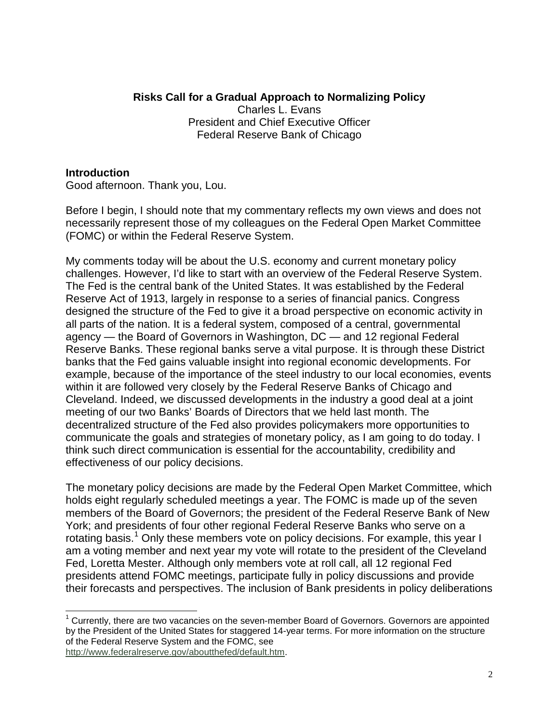### **Risks Call for a Gradual Approach to Normalizing Policy**

Charles L. Evans President and Chief Executive Officer Federal Reserve Bank of Chicago

#### **Introduction**

Good afternoon. Thank you, Lou.

Before I begin, I should note that my commentary reflects my own views and does not necessarily represent those of my colleagues on the Federal Open Market Committee (FOMC) or within the Federal Reserve System.

My comments today will be about the U.S. economy and current monetary policy challenges. However, I'd like to start with an overview of the Federal Reserve System. The Fed is the central bank of the United States. It was established by the Federal Reserve Act of 1913, largely in response to a series of financial panics. Congress designed the structure of the Fed to give it a broad perspective on economic activity in all parts of the nation. It is a federal system, composed of a central, governmental agency — the Board of Governors in Washington, DC — and 12 regional Federal Reserve Banks. These regional banks serve a vital purpose. It is through these District banks that the Fed gains valuable insight into regional economic developments. For example, because of the importance of the steel industry to our local economies, events within it are followed very closely by the Federal Reserve Banks of Chicago and Cleveland. Indeed, we discussed developments in the industry a good deal at a joint meeting of our two Banks' Boards of Directors that we held last month. The decentralized structure of the Fed also provides policymakers more opportunities to communicate the goals and strategies of monetary policy, as I am going to do today. I think such direct communication is essential for the accountability, credibility and effectiveness of our policy decisions.

The monetary policy decisions are made by the Federal Open Market Committee, which holds eight regularly scheduled meetings a year. The FOMC is made up of the seven members of the Board of Governors; the president of the Federal Reserve Bank of New York; and presidents of four other regional Federal Reserve Banks who serve on a rotating basis.<sup>[1](#page-1-0)</sup> Only these members vote on policy decisions. For example, this year I am a voting member and next year my vote will rotate to the president of the Cleveland Fed, Loretta Mester. Although only members vote at roll call, all 12 regional Fed presidents attend FOMC meetings, participate fully in policy discussions and provide their forecasts and perspectives. The inclusion of Bank presidents in policy deliberations

[http://www.federalreserve.gov/aboutthefed/default.htm.](http://www.federalreserve.gov/aboutthefed/default.htm)

<span id="page-1-0"></span> $<sup>1</sup>$  Currently, there are two vacancies on the seven-member Board of Governors. Governors are appointed</sup> by the President of the United States for staggered 14-year terms. For more information on the structure of the Federal Reserve System and the FOMC, see  $\overline{a}$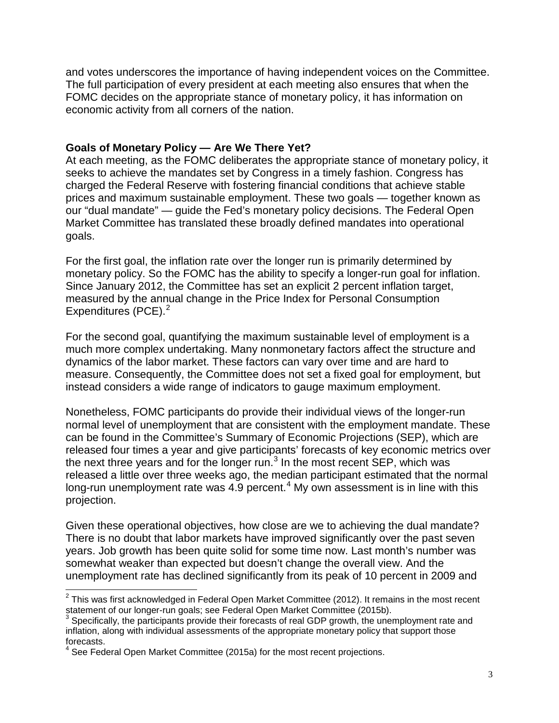and votes underscores the importance of having independent voices on the Committee. The full participation of every president at each meeting also ensures that when the FOMC decides on the appropriate stance of monetary policy, it has information on economic activity from all corners of the nation.

#### **Goals of Monetary Policy — Are We There Yet?**

At each meeting, as the FOMC deliberates the appropriate stance of monetary policy, it seeks to achieve the mandates set by Congress in a timely fashion. Congress has charged the Federal Reserve with fostering financial conditions that achieve stable prices and maximum sustainable employment. These two goals — together known as our "dual mandate" — guide the Fed's monetary policy decisions. The Federal Open Market Committee has translated these broadly defined mandates into operational goals.

For the first goal, the inflation rate over the longer run is primarily determined by monetary policy. So the FOMC has the ability to specify a longer-run goal for inflation. Since January 2012, the Committee has set an explicit 2 percent inflation target, measured by the annual change in the Price Index for Personal Consumption Expenditures (PCE). $2$ 

For the second goal, quantifying the maximum sustainable level of employment is a much more complex undertaking. Many nonmonetary factors affect the structure and dynamics of the labor market. These factors can vary over time and are hard to measure. Consequently, the Committee does not set a fixed goal for employment, but instead considers a wide range of indicators to gauge maximum employment.

Nonetheless, FOMC participants do provide their individual views of the longer-run normal level of unemployment that are consistent with the employment mandate. These can be found in the Committee's Summary of Economic Projections (SEP), which are released four times a year and give participants' forecasts of key economic metrics over the next three years and for the longer run. $3$  In the most recent SEP, which was released a little over three weeks ago, the median participant estimated that the normal long-run unemployment rate was  $4.9$  $4.9$  percent.<sup>4</sup> My own assessment is in line with this projection.

Given these operational objectives, how close are we to achieving the dual mandate? There is no doubt that labor markets have improved significantly over the past seven years. Job growth has been quite solid for some time now. Last month's number was somewhat weaker than expected but doesn't change the overall view. And the unemployment rate has declined significantly from its peak of 10 percent in 2009 and

<span id="page-2-0"></span> $^{2}$  This was first acknowledged in Federal Open Market Committee (2012). It remains in the most recent statement of our longer-run goals; see Federal Open Market Committee (2015b).<br><sup>3</sup> Specifically, the participants provide their forecasts of real GDP growth, the unemployment rate and  $\overline{\phantom{a}}$ 

<span id="page-2-1"></span>inflation, along with individual assessments of the appropriate monetary policy that support those forecasts.

<span id="page-2-2"></span>See Federal Open Market Committee (2015a) for the most recent projections.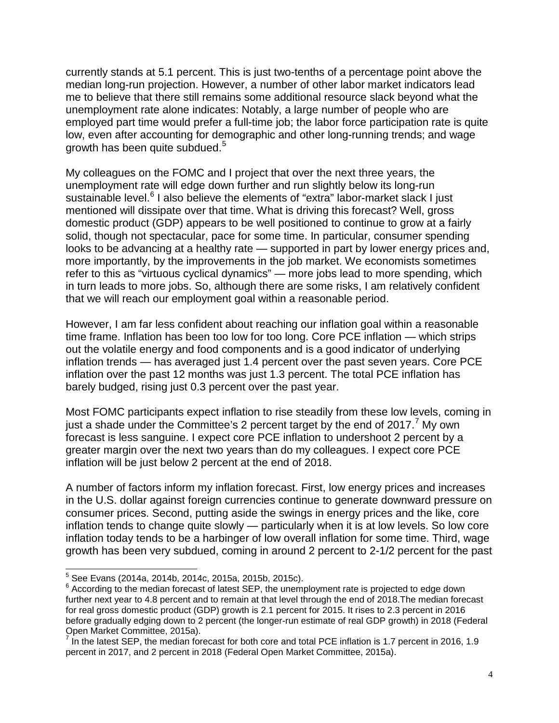currently stands at 5.1 percent. This is just two-tenths of a percentage point above the median long-run projection. However, a number of other labor market indicators lead me to believe that there still remains some additional resource slack beyond what the unemployment rate alone indicates: Notably, a large number of people who are employed part time would prefer a full-time job; the labor force participation rate is quite low, even after accounting for demographic and other long-running trends; and wage growth has been quite subdued.<sup>[5](#page-3-0)</sup>

My colleagues on the FOMC and I project that over the next three years, the unemployment rate will edge down further and run slightly below its long-run sustainable level.<sup>[6](#page-3-1)</sup> I also believe the elements of "extra" labor-market slack I just mentioned will dissipate over that time. What is driving this forecast? Well, gross domestic product (GDP) appears to be well positioned to continue to grow at a fairly solid, though not spectacular, pace for some time. In particular, consumer spending looks to be advancing at a healthy rate — supported in part by lower energy prices and, more importantly, by the improvements in the job market. We economists sometimes refer to this as "virtuous cyclical dynamics" — more jobs lead to more spending, which in turn leads to more jobs. So, although there are some risks, I am relatively confident that we will reach our employment goal within a reasonable period.

However, I am far less confident about reaching our inflation goal within a reasonable time frame. Inflation has been too low for too long. Core PCE inflation — which strips out the volatile energy and food components and is a good indicator of underlying inflation trends — has averaged just 1.4 percent over the past seven years. Core PCE inflation over the past 12 months was just 1.3 percent. The total PCE inflation has barely budged, rising just 0.3 percent over the past year.

Most FOMC participants expect inflation to rise steadily from these low levels, coming in just a shade under the Committee's 2 percent target by the end of 201[7](#page-3-2). My own forecast is less sanguine. I expect core PCE inflation to undershoot 2 percent by a greater margin over the next two years than do my colleagues. I expect core PCE inflation will be just below 2 percent at the end of 2018.

A number of factors inform my inflation forecast. First, low energy prices and increases in the U.S. dollar against foreign currencies continue to generate downward pressure on consumer prices. Second, putting aside the swings in energy prices and the like, core inflation tends to change quite slowly — particularly when it is at low levels. So low core inflation today tends to be a harbinger of low overall inflation for some time. Third, wage growth has been very subdued, coming in around 2 percent to 2-1/2 percent for the past

<sup>&</sup>lt;sup>5</sup> See Evans (2014a, 2014b, 2014c, 2015a, 2015b, 2015c).

<span id="page-3-1"></span><span id="page-3-0"></span> $6$  According to the median forecast of latest SEP, the unemployment rate is projected to edge down further next year to 4.8 percent and to remain at that level through the end of 2018.The median forecast for real gross domestic product (GDP) growth is 2.1 percent for 2015. It rises to 2.3 percent in 2016 before gradually edging down to 2 percent (the longer-run estimate of real GDP growth) in 2018 (Federal Open Market Committee, 2015a).

<span id="page-3-2"></span> $<sup>7</sup>$  In the latest SEP, the median forecast for both core and total PCE inflation is 1.7 percent in 2016, 1.9</sup> percent in 2017, and 2 percent in 2018 (Federal Open Market Committee, 2015a).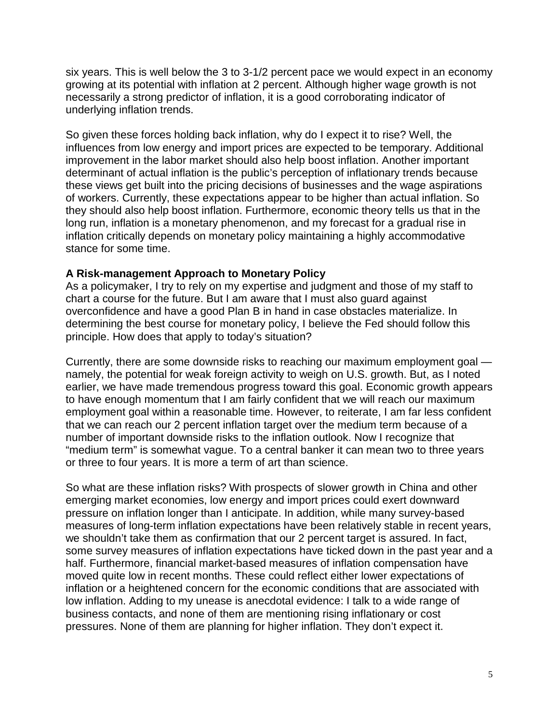six years. This is well below the 3 to 3-1/2 percent pace we would expect in an economy growing at its potential with inflation at 2 percent. Although higher wage growth is not necessarily a strong predictor of inflation, it is a good corroborating indicator of underlying inflation trends.

So given these forces holding back inflation, why do I expect it to rise? Well, the influences from low energy and import prices are expected to be temporary. Additional improvement in the labor market should also help boost inflation. Another important determinant of actual inflation is the public's perception of inflationary trends because these views get built into the pricing decisions of businesses and the wage aspirations of workers. Currently, these expectations appear to be higher than actual inflation. So they should also help boost inflation. Furthermore, economic theory tells us that in the long run, inflation is a monetary phenomenon, and my forecast for a gradual rise in inflation critically depends on monetary policy maintaining a highly accommodative stance for some time.

#### **A Risk-management Approach to Monetary Policy**

As a policymaker, I try to rely on my expertise and judgment and those of my staff to chart a course for the future. But I am aware that I must also guard against overconfidence and have a good Plan B in hand in case obstacles materialize. In determining the best course for monetary policy, I believe the Fed should follow this principle. How does that apply to today's situation?

Currently, there are some downside risks to reaching our maximum employment goal namely, the potential for weak foreign activity to weigh on U.S. growth. But, as I noted earlier, we have made tremendous progress toward this goal. Economic growth appears to have enough momentum that I am fairly confident that we will reach our maximum employment goal within a reasonable time. However, to reiterate, I am far less confident that we can reach our 2 percent inflation target over the medium term because of a number of important downside risks to the inflation outlook. Now I recognize that "medium term" is somewhat vague. To a central banker it can mean two to three years or three to four years. It is more a term of art than science.

So what are these inflation risks? With prospects of slower growth in China and other emerging market economies, low energy and import prices could exert downward pressure on inflation longer than I anticipate. In addition, while many survey-based measures of long-term inflation expectations have been relatively stable in recent years, we shouldn't take them as confirmation that our 2 percent target is assured. In fact, some survey measures of inflation expectations have ticked down in the past year and a half. Furthermore, financial market-based measures of inflation compensation have moved quite low in recent months. These could reflect either lower expectations of inflation or a heightened concern for the economic conditions that are associated with low inflation. Adding to my unease is anecdotal evidence: I talk to a wide range of business contacts, and none of them are mentioning rising inflationary or cost pressures. None of them are planning for higher inflation. They don't expect it.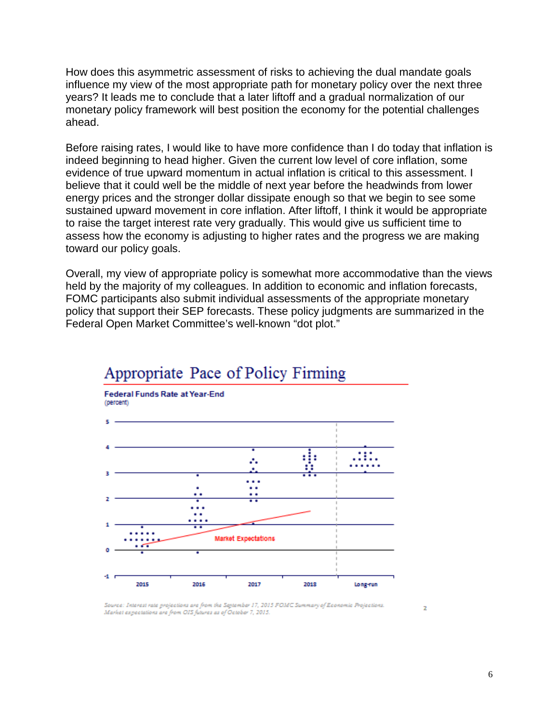How does this asymmetric assessment of risks to achieving the dual mandate goals influence my view of the most appropriate path for monetary policy over the next three years? It leads me to conclude that a later liftoff and a gradual normalization of our monetary policy framework will best position the economy for the potential challenges ahead.

Before raising rates, I would like to have more confidence than I do today that inflation is indeed beginning to head higher. Given the current low level of core inflation, some evidence of true upward momentum in actual inflation is critical to this assessment. I believe that it could well be the middle of next year before the headwinds from lower energy prices and the stronger dollar dissipate enough so that we begin to see some sustained upward movement in core inflation. After liftoff, I think it would be appropriate to raise the target interest rate very gradually. This would give us sufficient time to assess how the economy is adjusting to higher rates and the progress we are making toward our policy goals.

Overall, my view of appropriate policy is somewhat more accommodative than the views held by the majority of my colleagues. In addition to economic and inflation forecasts, FOMC participants also submit individual assessments of the appropriate monetary policy that support their SEP forecasts. These policy judgments are summarized in the Federal Open Market Committee's well-known "dot plot."



# Appropriate Pace of Policy Firming

Source: Interest rate projections are from the September 17, 2015 FOMC Summary of Economic Projections. Market expectations are from OIS futures as of October 7, 2015.

 $\overline{z}$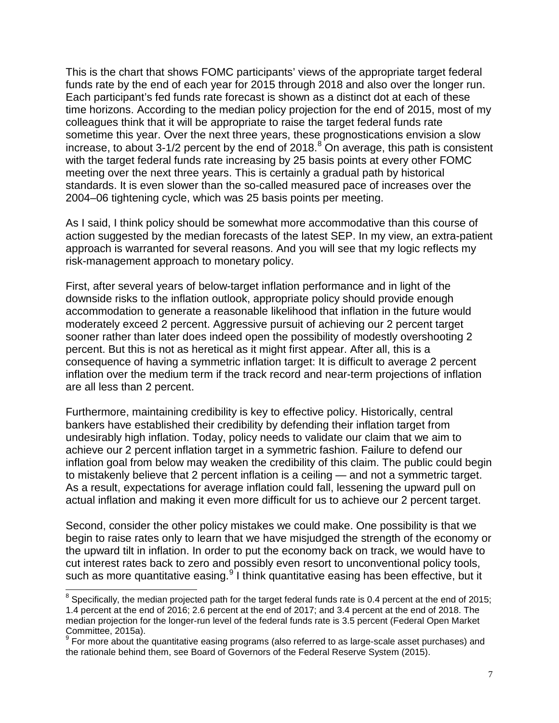This is the chart that shows FOMC participants' views of the appropriate target federal funds rate by the end of each year for 2015 through 2018 and also over the longer run. Each participant's fed funds rate forecast is shown as a distinct dot at each of these time horizons. According to the median policy projection for the end of 2015, most of my colleagues think that it will be appropriate to raise the target federal funds rate sometime this year. Over the next three years, these prognostications envision a slow increase, to about 3-1/2 percent by the end of  $2018.<sup>8</sup>$  $2018.<sup>8</sup>$  $2018.<sup>8</sup>$  On average, this path is consistent with the target federal funds rate increasing by 25 basis points at every other FOMC meeting over the next three years. This is certainly a gradual path by historical standards. It is even slower than the so-called measured pace of increases over the 2004–06 tightening cycle, which was 25 basis points per meeting.

As I said, I think policy should be somewhat more accommodative than this course of action suggested by the median forecasts of the latest SEP. In my view, an extra-patient approach is warranted for several reasons. And you will see that my logic reflects my risk-management approach to monetary policy.

First, after several years of below-target inflation performance and in light of the downside risks to the inflation outlook, appropriate policy should provide enough accommodation to generate a reasonable likelihood that inflation in the future would moderately exceed 2 percent. Aggressive pursuit of achieving our 2 percent target sooner rather than later does indeed open the possibility of modestly overshooting 2 percent. But this is not as heretical as it might first appear. After all, this is a consequence of having a symmetric inflation target: It is difficult to average 2 percent inflation over the medium term if the track record and near-term projections of inflation are all less than 2 percent.

Furthermore, maintaining credibility is key to effective policy. Historically, central bankers have established their credibility by defending their inflation target from undesirably high inflation. Today, policy needs to validate our claim that we aim to achieve our 2 percent inflation target in a symmetric fashion. Failure to defend our inflation goal from below may weaken the credibility of this claim. The public could begin to mistakenly believe that 2 percent inflation is a ceiling — and not a symmetric target. As a result, expectations for average inflation could fall, lessening the upward pull on actual inflation and making it even more difficult for us to achieve our 2 percent target.

Second, consider the other policy mistakes we could make. One possibility is that we begin to raise rates only to learn that we have misjudged the strength of the economy or the upward tilt in inflation. In order to put the economy back on track, we would have to cut interest rates back to zero and possibly even resort to unconventional policy tools, such as more quantitative easing.<sup>[9](#page-6-1)</sup> I think quantitative easing has been effective, but it

 $\overline{\phantom{a}}$ 

<span id="page-6-0"></span> $^8$  Specifically, the median projected path for the target federal funds rate is 0.4 percent at the end of 2015; 1.4 percent at the end of 2016; 2.6 percent at the end of 2017; and 3.4 percent at the end of 2018. The median projection for the longer-run level of the federal funds rate is 3.5 percent (Federal Open Market Committee, 2015a).

<span id="page-6-1"></span><sup>9</sup> For more about the quantitative easing programs (also referred to as large-scale asset purchases) and the rationale behind them, see Board of Governors of the Federal Reserve System (2015).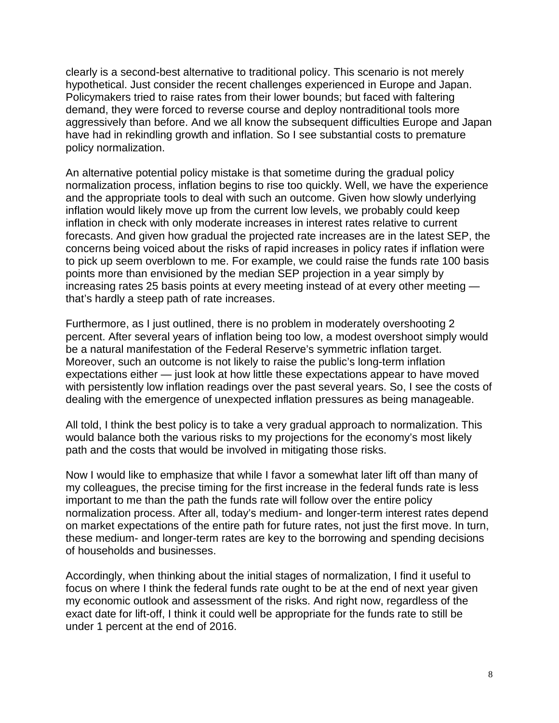clearly is a second-best alternative to traditional policy. This scenario is not merely hypothetical. Just consider the recent challenges experienced in Europe and Japan. Policymakers tried to raise rates from their lower bounds; but faced with faltering demand, they were forced to reverse course and deploy nontraditional tools more aggressively than before. And we all know the subsequent difficulties Europe and Japan have had in rekindling growth and inflation. So I see substantial costs to premature policy normalization.

An alternative potential policy mistake is that sometime during the gradual policy normalization process, inflation begins to rise too quickly. Well, we have the experience and the appropriate tools to deal with such an outcome. Given how slowly underlying inflation would likely move up from the current low levels, we probably could keep inflation in check with only moderate increases in interest rates relative to current forecasts. And given how gradual the projected rate increases are in the latest SEP, the concerns being voiced about the risks of rapid increases in policy rates if inflation were to pick up seem overblown to me. For example, we could raise the funds rate 100 basis points more than envisioned by the median SEP projection in a year simply by increasing rates 25 basis points at every meeting instead of at every other meeting that's hardly a steep path of rate increases.

Furthermore, as I just outlined, there is no problem in moderately overshooting 2 percent. After several years of inflation being too low, a modest overshoot simply would be a natural manifestation of the Federal Reserve's symmetric inflation target. Moreover, such an outcome is not likely to raise the public's long-term inflation expectations either — just look at how little these expectations appear to have moved with persistently low inflation readings over the past several years. So, I see the costs of dealing with the emergence of unexpected inflation pressures as being manageable.

All told, I think the best policy is to take a very gradual approach to normalization. This would balance both the various risks to my projections for the economy's most likely path and the costs that would be involved in mitigating those risks.

Now I would like to emphasize that while I favor a somewhat later lift off than many of my colleagues, the precise timing for the first increase in the federal funds rate is less important to me than the path the funds rate will follow over the entire policy normalization process. After all, today's medium- and longer-term interest rates depend on market expectations of the entire path for future rates, not just the first move. In turn, these medium- and longer-term rates are key to the borrowing and spending decisions of households and businesses.

Accordingly, when thinking about the initial stages of normalization, I find it useful to focus on where I think the federal funds rate ought to be at the end of next year given my economic outlook and assessment of the risks. And right now, regardless of the exact date for lift-off, I think it could well be appropriate for the funds rate to still be under 1 percent at the end of 2016.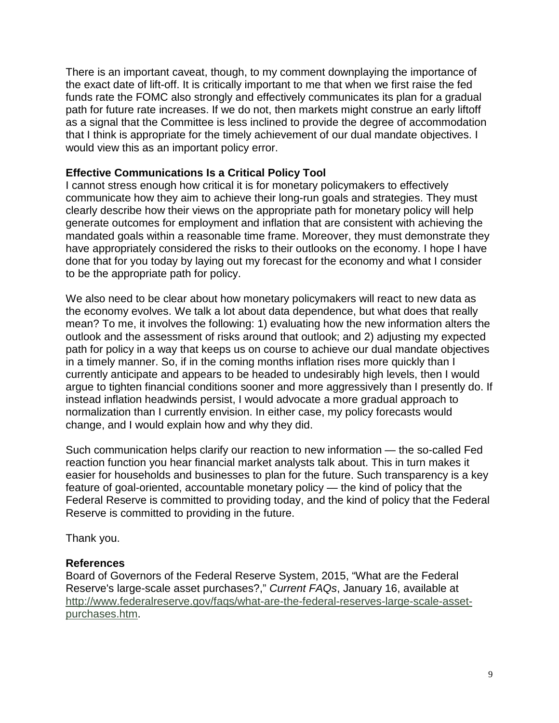There is an important caveat, though, to my comment downplaying the importance of the exact date of lift-off. It is critically important to me that when we first raise the fed funds rate the FOMC also strongly and effectively communicates its plan for a gradual path for future rate increases. If we do not, then markets might construe an early liftoff as a signal that the Committee is less inclined to provide the degree of accommodation that I think is appropriate for the timely achievement of our dual mandate objectives. I would view this as an important policy error.

#### **Effective Communications Is a Critical Policy Tool**

I cannot stress enough how critical it is for monetary policymakers to effectively communicate how they aim to achieve their long-run goals and strategies. They must clearly describe how their views on the appropriate path for monetary policy will help generate outcomes for employment and inflation that are consistent with achieving the mandated goals within a reasonable time frame. Moreover, they must demonstrate they have appropriately considered the risks to their outlooks on the economy. I hope I have done that for you today by laying out my forecast for the economy and what I consider to be the appropriate path for policy.

We also need to be clear about how monetary policymakers will react to new data as the economy evolves. We talk a lot about data dependence, but what does that really mean? To me, it involves the following: 1) evaluating how the new information alters the outlook and the assessment of risks around that outlook; and 2) adjusting my expected path for policy in a way that keeps us on course to achieve our dual mandate objectives in a timely manner. So, if in the coming months inflation rises more quickly than I currently anticipate and appears to be headed to undesirably high levels, then I would argue to tighten financial conditions sooner and more aggressively than I presently do. If instead inflation headwinds persist, I would advocate a more gradual approach to normalization than I currently envision. In either case, my policy forecasts would change, and I would explain how and why they did.

Such communication helps clarify our reaction to new information — the so-called Fed reaction function you hear financial market analysts talk about. This in turn makes it easier for households and businesses to plan for the future. Such transparency is a key feature of goal-oriented, accountable monetary policy — the kind of policy that the Federal Reserve is committed to providing today, and the kind of policy that the Federal Reserve is committed to providing in the future.

Thank you.

#### **References**

Board of Governors of the Federal Reserve System, 2015, "What are the Federal Reserve's large-scale asset purchases?," *Current FAQs*, January 16, available at [http://www.federalreserve.gov/faqs/what-are-the-federal-reserves-large-scale-asset](http://www.federalreserve.gov/faqs/what-are-the-federal-reserves-large-scale-asset-purchases.htm)[purchases.htm.](http://www.federalreserve.gov/faqs/what-are-the-federal-reserves-large-scale-asset-purchases.htm)